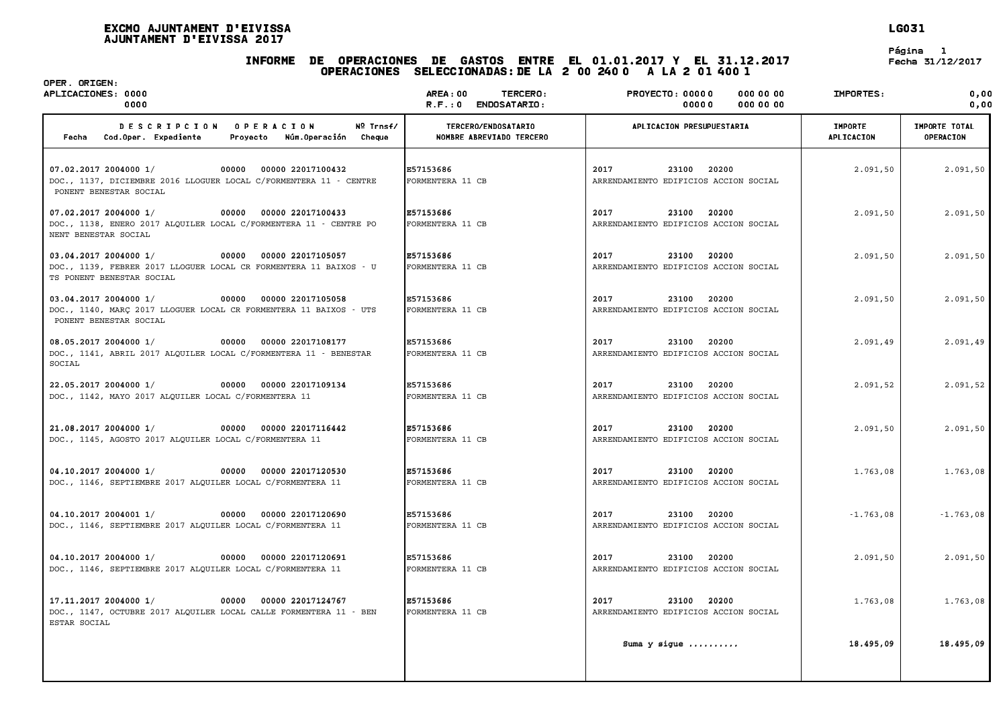## EXCMO AJUNTAMENT D'EIVISSA LG031 .<br>Excmo ajuntament d'Eiviss<br>Ajuntament d'Eivissa 2017

# INFORME DE OPERACIONES DE GASTOS ENTRE EL 01.01.2017 <sup>Y</sup> EL 31.12.2017 Fecha 31/12/2017 .<br>2 Operaciones de Gastos entre el 01.01.2017 y el 31.1;<br>Operaciones seleccionadas:de la 2 00 240 0 -A la 2 01 400 1

**LG031**<br>Página 1<br>Fecha 31/12/2017

| OPER. ORIGEN:<br>APLICACIONES: 0000<br>0000                                                                                                        | <b>AREA: 00</b><br>TERCERO:<br>R.F.: 0 ENDOSATARIO: | <b>PROYECTO: 00000</b><br>000 00 00<br>000 00 00<br>00000       | IMPORTES:                    | 0,00<br>0.00                      |
|----------------------------------------------------------------------------------------------------------------------------------------------------|-----------------------------------------------------|-----------------------------------------------------------------|------------------------------|-----------------------------------|
| <b>OPERACION</b><br>Nº Trnsf/<br><b>DESCRIPCION</b><br>Cod.Oper. Expediente<br>Fecha<br>Proyecto<br>Núm.Operación<br>Cheque                        | TERCERO/ENDOSATARIO<br>NOMBRE ABREVIADO TERCERO     | APLICACION PRESUPUESTARIA                                       | <b>IMPORTE</b><br>APLICACION | IMPORTE TOTAL<br><b>OPERACION</b> |
| 00000 22017100432<br>07.02.2017 2004000 1/<br>00000<br>DOC., 1137, DICIEMBRE 2016 LLOGUER LOCAL C/FORMENTERA 11 - CENTRE<br>PONENT BENESTAR SOCIAL | E57153686<br>FORMENTERA 11 CB                       | 2017<br>20200<br>23100<br>ARRENDAMIENTO EDIFICIOS ACCION SOCIAL | 2.091,50                     | 2.091,50                          |
| 07.02.2017 2004000 1/<br>00000 00000 22017100433<br>DOC., 1138, ENERO 2017 ALQUILER LOCAL C/FORMENTERA 11 - CENTRE PO<br>NENT BENESTAR SOCIAL      | E57153686<br>FORMENTERA 11 CB                       | 2017<br>23100<br>20200<br>ARRENDAMIENTO EDIFICIOS ACCION SOCIAL | 2.091,50                     | 2.091,50                          |
| 03.04.2017 2004000 1/<br>00000 00000 22017105057<br>DOC., 1139, FEBRER 2017 LLOGUER LOCAL CR FORMENTERA 11 BAIXOS - U<br>TS PONENT BENESTAR SOCIAL | E57153686<br>FORMENTERA 11 CB                       | 2017<br>23100<br>20200<br>ARRENDAMIENTO EDIFICIOS ACCION SOCIAL | 2.091,50                     | 2.091,50                          |
| 03.04.2017 2004000 1/<br>00000 00000 22017105058<br>DOC., 1140, MARC 2017 LLOGUER LOCAL CR FORMENTERA 11 BAIXOS - UTS<br>PONENT BENESTAR SOCIAL    | E57153686<br>FORMENTERA 11 CB                       | 2017<br>23100<br>20200<br>ARRENDAMIENTO EDIFICIOS ACCION SOCIAL | 2.091,50                     | 2.091,50                          |
| 08.05.2017 2004000 1/<br>00000 00000 22017108177<br>DOC., 1141, ABRIL 2017 ALQUILER LOCAL C/FORMENTERA 11 - BENESTAR<br>SOCIAL                     | E57153686<br>FORMENTERA 11 CB                       | 2017<br>23100<br>20200<br>ARRENDAMIENTO EDIFICIOS ACCION SOCIAL | 2.091,49                     | 2.091,49                          |
| 22.05.2017 2004000 1/<br>00000 00000 22017109134<br>DOC., 1142, MAYO 2017 ALQUILER LOCAL C/FORMENTERA 11                                           | E57153686<br>FORMENTERA 11 CB                       | 2017<br>23100<br>20200<br>ARRENDAMIENTO EDIFICIOS ACCION SOCIAL | 2.091,52                     | 2.091,52                          |
| 21.08.2017 2004000 1/<br>00000 00000 22017116442<br>DOC., 1145, AGOSTO 2017 ALQUILER LOCAL C/FORMENTERA 11                                         | E57153686<br>FORMENTERA 11 CB                       | 2017<br>23100<br>20200<br>ARRENDAMIENTO EDIFICIOS ACCION SOCIAL | 2.091,50                     | 2.091,50                          |
| 04.10.2017 2004000 1/<br>00000 00000 22017120530<br>DOC., 1146, SEPTIEMBRE 2017 ALQUILER LOCAL C/FORMENTERA 11                                     | E57153686<br>FORMENTERA 11 CB                       | 2017<br>23100<br>20200<br>ARRENDAMIENTO EDIFICIOS ACCION SOCIAL | 1.763,08                     | 1,763,08                          |
| 04.10.2017 2004001 1/<br>00000 00000 22017120690<br>DOC., 1146, SEPTIEMBRE 2017 ALQUILER LOCAL C/FORMENTERA 11                                     | E57153686<br>FORMENTERA 11 CB                       | 2017<br>23100<br>20200<br>ARRENDAMIENTO EDIFICIOS ACCION SOCIAL | $-1.763,08$                  | $-1.763,08$                       |
| 04.10.2017 2004000 1/<br>00000 00000 22017120691<br>DOC., 1146, SEPTIEMBRE 2017 ALQUILER LOCAL C/FORMENTERA 11                                     | E57153686<br>FORMENTERA 11 CB                       | 2017<br>23100<br>20200<br>ARRENDAMIENTO EDIFICIOS ACCION SOCIAL | 2.091,50                     | 2.091,50                          |
| 17.11.2017 2004000 1/<br>00000 00000 22017124767<br>DOC., 1147, OCTUBRE 2017 ALQUILER LOCAL CALLE FORMENTERA 11 - BEN<br>ESTAR SOCIAL              | E57153686<br>FORMENTERA 11 CB                       | 2017<br>23100<br>20200<br>ARRENDAMIENTO EDIFICIOS ACCION SOCIAL | 1.763,08                     | 1.763,08                          |
|                                                                                                                                                    |                                                     | Suma y sigue                                                    | 18.495,09                    | 18.495,09                         |
|                                                                                                                                                    |                                                     |                                                                 |                              |                                   |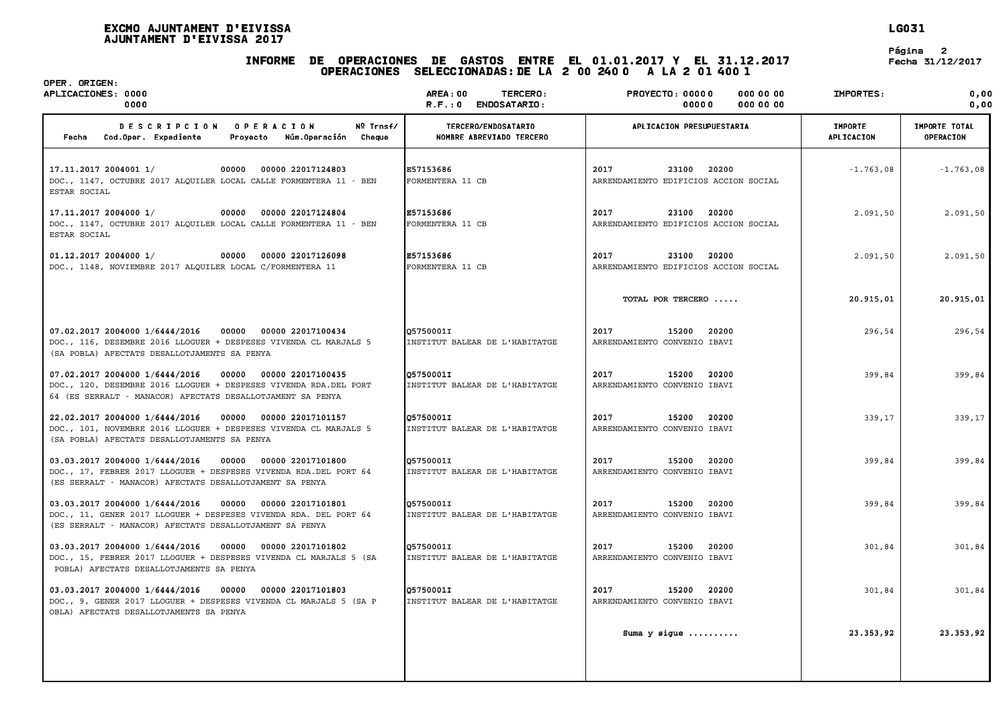## INFORME DE OPERACIONES DE GASTOS ENTRE EL 01.01.2017 <sup>Y</sup> EL 31.12.2017 Fecha 31/12/2017 .<br>2 Operaciones de Gastos entre el 01.01.2017 y el 31.1;<br>Operaciones seleccionadas:de la 2 00 240 0 -A la 2 01 400 1

**LG031**<br>Página 2<br>Fecha 31/12/2017

| OPER. ORIGEN:<br>APLICACIONES: 0000<br>0000                                                                                                                                                     | <b>AREA: 00</b><br>TERCERO:<br>ENDOSATARIO:<br>R.F.: 0 | <b>PROYECTO: 00000</b><br>000 00 00<br>0000000<br>00000         | IMPORTES:                    | 0.00<br>0.00                      |
|-------------------------------------------------------------------------------------------------------------------------------------------------------------------------------------------------|--------------------------------------------------------|-----------------------------------------------------------------|------------------------------|-----------------------------------|
| <b>DESCRIPCION</b><br><b>OPERACION</b><br>Nº Trnsf/<br>Cod.Oper. Expediente<br>Núm.Operación<br>Fecha<br>Provecto<br>Cheque                                                                     | TERCERO/ENDOSATARIO<br>NOMBRE ABREVIADO TERCERO        | APLICACION PRESUPUESTARIA                                       | <b>IMPORTE</b><br>APLICACION | IMPORTE TOTAL<br><b>OPERACION</b> |
| 17.11.2017 2004001 1/<br>00000<br>00000 22017124803<br>DOC., 1147, OCTUBRE 2017 ALQUILER LOCAL CALLE FORMENTERA 11 - BEN<br>ESTAR SOCIAL                                                        | E57153686<br>FORMENTERA 11 CB                          | 2017<br>23100<br>20200<br>ARRENDAMIENTO EDIFICIOS ACCION SOCIAL | $-1.763,08$                  | $-1.763,08$                       |
| 17.11.2017 2004000 1/<br>00000 22017124804<br>00000<br>DOC., 1147, OCTUBRE 2017 ALQUILER LOCAL CALLE FORMENTERA 11 - BEN<br>ESTAR SOCIAL                                                        | E57153686<br>FORMENTERA 11 CB                          | 2017<br>23100<br>20200<br>ARRENDAMIENTO EDIFICIOS ACCION SOCIAL | 2.091,50                     | 2.091,50                          |
| 01.12.2017 2004000 1/<br>00000<br>00000 22017126098<br>DOC., 1148, NOVIEMBRE 2017 ALQUILER LOCAL C/FORMENTERA 11                                                                                | E57153686<br>FORMENTERA 11 CB                          | 2017<br>20200<br>23100<br>ARRENDAMIENTO EDIFICIOS ACCION SOCIAL | 2.091.50                     | 2.091,50                          |
|                                                                                                                                                                                                 |                                                        | TOTAL POR TERCERO                                               | 20.915,01                    | 20.915,01                         |
| 07.02.2017 2004000 1/6444/2016<br>00000 00000 22017100434<br>DOC., 116, DESEMBRE 2016 LLOGUER + DESPESES VIVENDA CL MARJALS 5<br>(SA POBLA) AFECTATS DESALLOTJAMENTS SA PENYA                   | O5750001I<br>INSTITUT BALEAR DE L'HABITATGE            | 2017<br>15200<br>20200<br>ARRENDAMIENTO CONVENIO IBAVI          | 296,54                       | 296,54                            |
| 07.02.2017 2004000 1/6444/2016<br>00000<br>00000 22017100435<br>DOC., 120, DESEMBRE 2016 LLOGUER + DESPESES VIVENDA RDA. DEL PORT<br>64 (ES SERRALT - MANACOR) AFECTATS DESALLOTJAMENT SA PENYA | O5750001I<br>INSTITUT BALEAR DE L'HABITATGE            | 2017<br>15200<br>20200<br>ARRENDAMIENTO CONVENIO IBAVI          | 399,84                       | 399,84                            |
| 22.02.2017 2004000 1/6444/2016<br>00000 22017101157<br>00000<br>DOC., 101, NOVEMBRE 2016 LLOGUER + DESPESES VIVENDA CL MARJALS 5<br>(SA POBLA) AFECTATS DESALLOTJAMENTS SA PENYA                | Q5750001I<br>INSTITUT BALEAR DE L'HABITATGE            | 2017<br>20200<br>15200<br>ARRENDAMIENTO CONVENIO IBAVI          | 339,17                       | 339,17                            |
| 03.03.2017 2004000 1/6444/2016<br>00000<br>00000 22017101800<br>DOC., 17, FEBRER 2017 LLOGUER + DESPESES VIVENDA RDA.DEL PORT 64<br>(ES SERRALT - MANACOR) AFECTATS DESALLOTJAMENT SA PENYA     | O5750001I<br>INSTITUT BALEAR DE L'HABITATGE            | 2017<br>15200<br>20200<br>ARRENDAMIENTO CONVENIO IBAVI          | 399,84                       | 399,84                            |
| 03.03.2017 2004000 1/6444/2016<br>00000<br>00000 22017101801<br>DOC., 11, GENER 2017 LLOGUER + DESPESES VIVENDA RDA. DEL PORT 64<br>(ES SERRALT - MANACOR) AFECTATS DESALLOTJAMENT SA PENYA     | Q5750001I<br>INSTITUT BALEAR DE L'HABITATGE            | 2017<br>15200<br>20200<br>ARRENDAMIENTO CONVENIO IBAVI          | 399,84                       | 399,84                            |
| 03.03.2017 2004000 1/6444/2016<br>00000 22017101802<br>00000<br>DOC., 15, FEBRER 2017 LLOGUER + DESPESES VIVENDA CL MARJALS 5 (SA<br>POBLA) AFECTATS DESALLOTJAMENTS SA PENYA                   | 05750001I<br>INSTITUT BALEAR DE L'HABITATGE            | 2017<br>15200<br>20200<br>ARRENDAMIENTO CONVENIO IBAVI          | 301,84                       | 301,84                            |
| 03.03.2017 2004000 1/6444/2016<br>00000<br>00000 22017101803<br>DOC., 9, GENER 2017 LLOGUER + DESPESES VIVENDA CL MARJALS 5 (SA P<br>OBLA) AFECTATS DESALLOTJAMENTS SA PENYA                    | Q5750001I<br>INSTITUT BALEAR DE L'HABITATGE            | 2017<br>15200<br>20200<br>ARRENDAMIENTO CONVENIO IBAVI          | 301,84                       | 301,84                            |
|                                                                                                                                                                                                 |                                                        | Suma $y$ sique $\ldots \ldots \ldots$                           | 23.353.92                    | 23.353.92                         |
|                                                                                                                                                                                                 |                                                        |                                                                 |                              |                                   |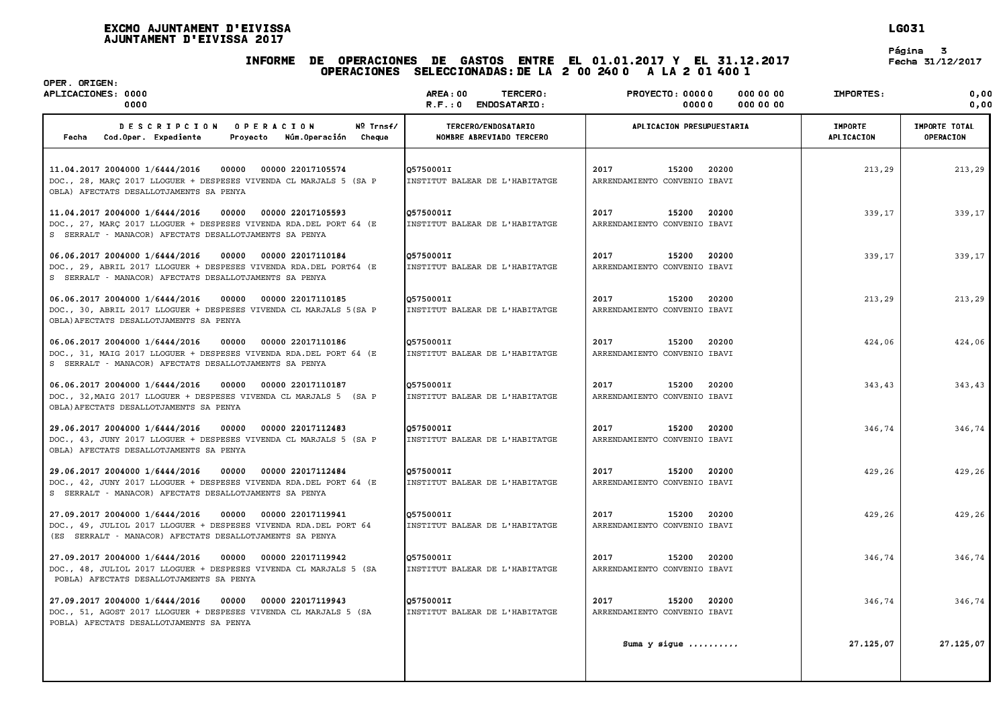#### . 2017<br>INFORME DE OPERACIONES DE GASTOS ENTRE EL 01.01.2017 Y EL 31.12.2017 Fecha .<br>2 Operaciones de Gastos entre el 01.01.2017 y el 31.1;<br>Operaciones seleccionadas:de la 2 00 240 0 -A la 2 01 400 1

**LG031**<br>Página 3<br>Fecha 31/12/2017

| OPER. ORIGEN:<br>APLICACIONES: 0000<br>0000                                                                                                                                                  | <b>AREA: 00</b><br>TERCERO:<br>ENDOSATARIO:<br>R.F.:0 | <b>PROYECTO: 00000</b><br><b>000 00 00</b><br>000 00 00<br>00000 | IMPORTES:                    | 0.00<br>0.00                      |
|----------------------------------------------------------------------------------------------------------------------------------------------------------------------------------------------|-------------------------------------------------------|------------------------------------------------------------------|------------------------------|-----------------------------------|
| Nº Trnsf/<br><b>DESCRIPCION</b><br><b>OPERACION</b><br>Cod.Oper. Expediente<br>Núm.Operación<br>Cheque<br>Fecha<br>Proyecto                                                                  | TERCERO/ENDOSATARIO<br>NOMBRE ABREVIADO TERCERO       | APLICACION PRESUPUESTARIA                                        | <b>IMPORTE</b><br>APLICACION | <b>IMPORTE TOTAL</b><br>OPERACION |
| 11.04.2017 2004000 1/6444/2016<br>00000 22017105574<br>00000<br>DOC., 28, MARÇ 2017 LLOGUER + DESPESES VIVENDA CL MARJALS 5 (SA P<br>OBLA) AFECTATS DESALLOTJAMENTS SA PENYA                 | 05750001I<br>INSTITUT BALEAR DE L'HABITATGE           | 2017<br>20200<br>15200<br>ARRENDAMIENTO CONVENIO IBAVI           | 213,29                       | 213,29                            |
| 11.04.2017 2004000 1/6444/2016<br>00000<br>00000 22017105593<br>DOC., 27, MARÇ 2017 LLOGUER + DESPESES VIVENDA RDA. DEL PORT 64 (E<br>S SERRALT - MANACOR) AFECTATS DESALLOTJAMENTS SA PENYA | 05750001I<br>INSTITUT BALEAR DE L'HABITATGE           | 2017<br>15200<br>20200<br>ARRENDAMIENTO CONVENIO IBAVI           | 339,17                       | 339,17                            |
| 06.06.2017 2004000 1/6444/2016<br>00000 00000 22017110184<br>DOC., 29, ABRIL 2017 LLOGUER + DESPESES VIVENDA RDA.DEL PORT64 (E<br>S SERRALT - MANACOR) AFECTATS DESALLOTJAMENTS SA PENYA     | 05750001I<br>INSTITUT BALEAR DE L'HABITATGE           | 2017<br>15200<br>20200<br>ARRENDAMIENTO CONVENIO IBAVI           | 339,17                       | 339,17                            |
| 06.06.2017 2004000 1/6444/2016<br>00000<br>00000 22017110185<br>DOC., 30, ABRIL 2017 LLOGUER + DESPESES VIVENDA CL MARJALS 5 (SA P<br>OBLA) AFECTATS DESALLOTJAMENTS SA PENYA                | 05750001I<br>INSTITUT BALEAR DE L'HABITATGE           | 2017<br>15200<br>20200<br>ARRENDAMIENTO CONVENIO IBAVI           | 213,29                       | 213,29                            |
| 06.06.2017 2004000 1/6444/2016<br>00000<br>00000 22017110186<br>DOC., 31, MAIG 2017 LLOGUER + DESPESES VIVENDA RDA.DEL PORT 64 (E<br>S SERRALT - MANACOR) AFECTATS DESALLOTJAMENTS SA PENYA  | 05750001I<br>INSTITUT BALEAR DE L'HABITATGE           | 2017<br>15200<br>20200<br>ARRENDAMIENTO CONVENIO IBAVI           | 424,06                       | 424,06                            |
| 06.06.2017 2004000 1/6444/2016<br>00000 00000 22017110187<br>DOC., 32, MAIG 2017 LLOGUER + DESPESES VIVENDA CL MARJALS 5 (SA P<br>OBLA) AFECTATS DESALLOTJAMENTS SA PENYA                    | 05750001I<br>INSTITUT BALEAR DE L'HABITATGE           | 2017<br>15200<br>20200<br>ARRENDAMIENTO CONVENIO IBAVI           | 343,43                       | 343,43                            |
| 29.06.2017 2004000 1/6444/2016<br>00000<br>00000 22017112483<br>DOC., 43, JUNY 2017 LLOGUER + DESPESES VIVENDA CL MARJALS 5 (SA P<br>OBLA) AFECTATS DESALLOTJAMENTS SA PENYA                 | 05750001I<br>INSTITUT BALEAR DE L'HABITATGE           | 2017<br>15200<br>20200<br>ARRENDAMIENTO CONVENIO IBAVI           | 346,74                       | 346,74                            |
| 29.06.2017 2004000 1/6444/2016<br>00000<br>00000 22017112484<br>DOC., 42, JUNY 2017 LLOGUER + DESPESES VIVENDA RDA. DEL PORT 64 (E<br>S SERRALT - MANACOR) AFECTATS DESALLOTJAMENTS SA PENYA | 05750001I<br>INSTITUT BALEAR DE L'HABITATGE           | 2017<br>20200<br>15200<br>ARRENDAMIENTO CONVENIO IBAVI           | 429,26                       | 429,26                            |
| 27.09.2017 2004000 1/6444/2016<br>00000<br>00000 22017119941<br>DOC., 49, JULIOL 2017 LLOGUER + DESPESES VIVENDA RDA.DEL PORT 64<br>(ES SERRALT - MANACOR) AFECTATS DESALLOTJAMENTS SA PENYA | 05750001I<br>INSTITUT BALEAR DE L'HABITATGE           | 2017<br>15200<br>20200<br>ARRENDAMIENTO CONVENIO IBAVI           | 429,26                       | 429,26                            |
| 27.09.2017 2004000 1/6444/2016<br>00000<br>00000 22017119942<br>DOC., 48, JULIOL 2017 LLOGUER + DESPESES VIVENDA CL MARJALS 5 (SA<br>POBLA) AFECTATS DESALLOTJAMENTS SA PENYA                | 05750001I<br>INSTITUT BALEAR DE L'HABITATGE           | 2017<br>15200<br>20200<br>ARRENDAMIENTO CONVENIO IBAVI           | 346,74                       | 346,74                            |
| 27.09.2017 2004000 1/6444/2016<br>00000 22017119943<br>00000<br>DOC., 51, AGOST 2017 LLOGUER + DESPESES VIVENDA CL MARJALS 5 (SA<br>POBLA) AFECTATS DESALLOTJAMENTS SA PENYA                 | 05750001I<br>INSTITUT BALEAR DE L'HABITATGE           | 2017<br>20200<br>15200<br>ARRENDAMIENTO CONVENIO IBAVI           | 346,74                       | 346,74                            |
|                                                                                                                                                                                              |                                                       | Suma $y$ sigue                                                   | 27.125,07                    | 27.125,07                         |
|                                                                                                                                                                                              |                                                       |                                                                  |                              |                                   |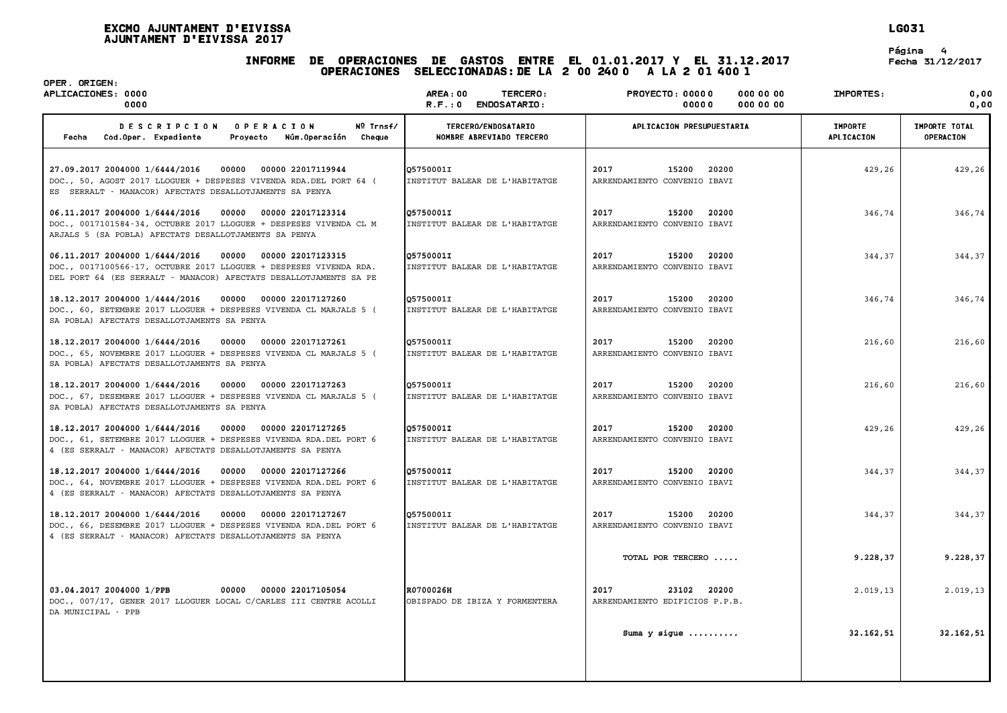# . 2017<br>INFORME DE OPERACIONES DE GASTOS ENTRE EL 01.01.2017 Y EL 31.12.2017 Fecha 31/12/2017 .<br>2 Operaciones de Gastos entre el 01.01.2017 y el 31.1;<br>Operaciones seleccionadas:de la 2 00 240 0 -A la 2 01 400 1

**LG031**<br>Página 4<br>Fecha 31/12/2017

| OPER. ORIGEN:<br>APLICACIONES: 0000<br>0000                                                                                                                                                            | <b>AREA: 00</b><br>TERCERO:<br>R.F.: 0 ENDOSATARIO: | <b>PROYECTO: 00000</b><br><b>000 00 00</b><br>0000000<br>00000 | IMPORTES:                    | 0.00<br>0.00               |
|--------------------------------------------------------------------------------------------------------------------------------------------------------------------------------------------------------|-----------------------------------------------------|----------------------------------------------------------------|------------------------------|----------------------------|
| Nº Trnsf/<br><b>DESCRIPCION</b><br><b>OPERACION</b><br>Cod.Oper. Expediente<br>Núm.Operación<br>Cheque<br>Fecha<br>Provecto                                                                            | TERCERO/ENDOSATARIO<br>NOMBRE ABREVIADO TERCERO     | APLICACION PRESUPUESTARIA                                      | <b>IMPORTE</b><br>APLICACION | IMPORTE TOTAL<br>OPERACION |
| 27.09.2017 2004000 1/6444/2016<br>00000 22017119944<br>00000<br>DOC., 50, AGOST 2017 LLOGUER + DESPESES VIVENDA RDA. DEL PORT 64 (<br>ES SERRALT - MANACOR) AFECTATS DESALLOTJAMENTS SA PENYA          | 05750001I<br>INSTITUT BALEAR DE L'HABITATGE         | 2017<br>15200<br>20200<br>ARRENDAMIENTO CONVENIO IBAVI         | 429,26                       | 429,26                     |
| 06.11.2017 2004000 1/6444/2016<br>00000<br>00000 22017123314<br>DOC., 0017101584-34, OCTUBRE 2017 LLOGUER + DESPESES VIVENDA CL M<br>ARJALS 5 (SA POBLA) AFECTATS DESALLOTJAMENTS SA PENYA             | 05750001I<br>INSTITUT BALEAR DE L'HABITATGE         | 2017<br>15200<br>20200<br>ARRENDAMIENTO CONVENIO IBAVI         | 346,74                       | 346,74                     |
| 06.11.2017 2004000 1/6444/2016<br>00000<br>00000 22017123315<br>DOC., 0017100566-17, OCTUBRE 2017 LLOGUER + DESPESES VIVENDA RDA.<br>DEL PORT 64 (ES SERRALT - MANACOR) AFECTATS DESALLOTJAMENTS SA PE | 05750001I<br>INSTITUT BALEAR DE L'HABITATGE         | 2017<br>15200<br>20200<br>ARRENDAMIENTO CONVENIO IBAVI         | 344,37                       | 344,37                     |
| 18.12.2017 2004000 1/4444/2016<br>00000 00000 22017127260<br>DOC., 60, SETEMBRE 2017 LLOGUER + DESPESES VIVENDA CL MARJALS 5 (<br>SA POBLA) AFECTATS DESALLOTJAMENTS SA PENYA                          | 05750001I<br>INSTITUT BALEAR DE L'HABITATGE         | 2017<br>15200<br>20200<br>ARRENDAMIENTO CONVENIO IBAVI         | 346,74                       | 346,74                     |
| 18.12.2017 2004000 1/6444/2016<br>00000<br>00000 22017127261<br>DOC., 65, NOVEMBRE 2017 LLOGUER + DESPESES VIVENDA CL MARJALS 5 (<br>SA POBLA) AFECTATS DESALLOTJAMENTS SA PENYA                       | 057500011<br>INSTITUT BALEAR DE L'HABITATGE         | 2017<br>15200<br>20200<br>ARRENDAMIENTO CONVENIO IBAVI         | 216,60                       | 216,60                     |
| 18.12.2017 2004000 1/6444/2016<br>00000 22017127263<br>00000<br>DOC., 67, DESEMBRE 2017 LLOGUER + DESPESES VIVENDA CL MARJALS 5 (<br>SA POBLA) AFECTATS DESALLOTJAMENTS SA PENYA                       | 05750001I<br>INSTITUT BALEAR DE L'HABITATGE         | 2017<br>20200<br>15200<br>ARRENDAMIENTO CONVENIO IBAVI         | 216,60                       | 216,60                     |
| 18.12.2017 2004000 1/6444/2016<br>00000 00000 22017127265<br>DOC., 61, SETEMBRE 2017 LLOGUER + DESPESES VIVENDA RDA.DEL PORT 6<br>4 (ES SERRALT - MANACOR) AFECTATS DESALLOTJAMENTS SA PENYA           | 05750001I<br>INSTITUT BALEAR DE L'HABITATGE         | 2017<br>15200<br>20200<br>ARRENDAMIENTO CONVENIO IBAVI         | 429,26                       | 429,26                     |
| 18.12.2017 2004000 1/6444/2016<br>00000 22017127266<br>00000<br>DOC., 64, NOVEMBRE 2017 LLOGUER + DESPESES VIVENDA RDA. DEL PORT 6<br>4 (ES SERRALT - MANACOR) AFECTATS DESALLOTJAMENTS SA PENYA       | 05750001I<br>INSTITUT BALEAR DE L'HABITATGE         | 2017<br>15200<br>20200<br>ARRENDAMIENTO CONVENIO IBAVI         | 344,37                       | 344,37                     |
| 18.12.2017 2004000 1/6444/2016<br>00000 22017127267<br>00000<br>DOC., 66, DESEMBRE 2017 LLOGUER + DESPESES VIVENDA RDA.DEL PORT 6<br>4 (ES SERRALT - MANACOR) AFECTATS DESALLOTJAMENTS SA PENYA        | 05750001I<br>INSTITUT BALEAR DE L'HABITATGE         | 2017<br>15200<br>20200<br>ARRENDAMIENTO CONVENIO IBAVI         | 344,37                       | 344,37                     |
|                                                                                                                                                                                                        |                                                     | TOTAL POR TERCERO                                              | 9.228,37                     | 9.228,37                   |
| 03.04.2017 2004000 1/PPB<br>00000<br>00000 22017105054<br>DOC., 007/17, GENER 2017 LLOGUER LOCAL C/CARLES III CENTRE ACOLLI<br>DA MUNICIPAL - PPB                                                      | R0700026H<br>OBISPADO DE IBIZA Y FORMENTERA         | 23102 20200<br>2017<br>ARRENDAMIENTO EDIFICIOS P.P.B.          | 2.019,13                     | 2.019, 13                  |
|                                                                                                                                                                                                        |                                                     | Suma $y$ sique $\dots\dots\dots$                               | 32.162,51                    | 32.162,51                  |
|                                                                                                                                                                                                        |                                                     |                                                                |                              |                            |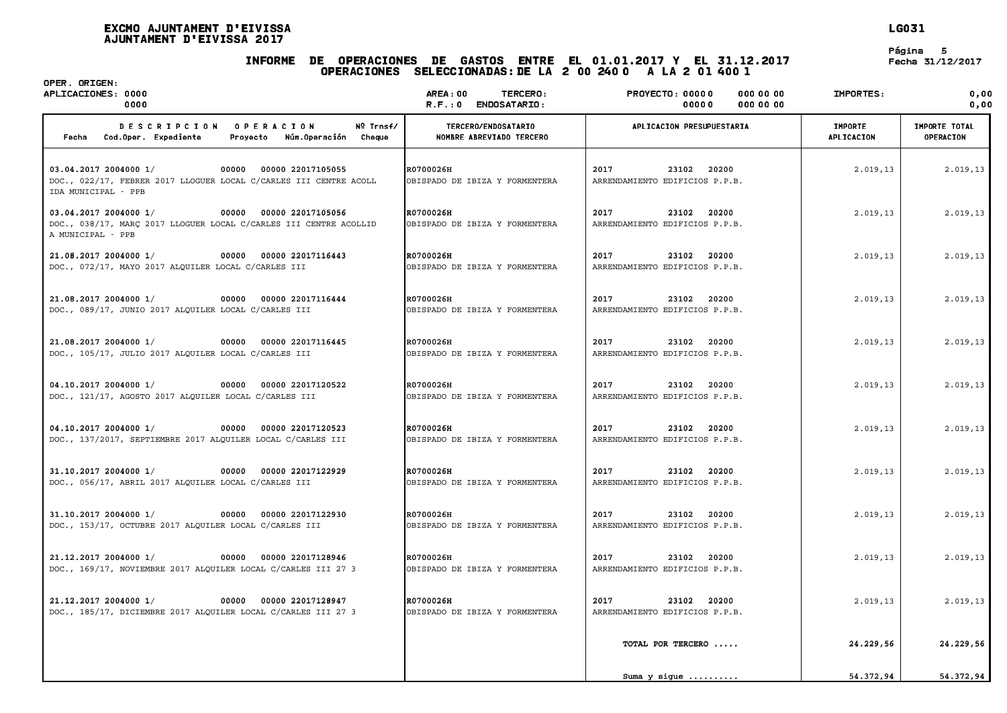# INFORME DE OPERACIONES DE GASTOS ENTRE EL 01.01.2017 <sup>Y</sup> EL 31.12.2017 Fecha 31/12/2017 .<br>2 Operaciones de Gastos entre el 01.01.2017 y el 31.1;<br>Operaciones seleccionadas:de la 2 00 240 0 -A la 2 01 400 1

**LG031**<br>Página 5<br>Fecha 31/12/2017

| OPER. ORIGEN:<br>APLICACIONES: 0000<br>0000                                                                                                  | AREA:00<br>TERCERO:<br>$R.F.: 0$ ENDOSATARIO:   | OPERACIONES SELECCIONADAS: DE LA 2 00 240 0 A LA 2 01 400 1<br><b>PROYECTO: 00000</b><br>0000000<br>00000<br>000 00 00 | IMPORTES:                    | 0,00<br>0,00                      |
|----------------------------------------------------------------------------------------------------------------------------------------------|-------------------------------------------------|------------------------------------------------------------------------------------------------------------------------|------------------------------|-----------------------------------|
| DESCRIPCION OPERACION<br>Nº Trnsf/<br>Fecha Cod.Oper. Expediente<br>Proyecto Núm.Operación Cheque                                            | TERCERO/ENDOSATARIO<br>NOMBRE ABREVIADO TERCERO | APLICACION PRESUPUESTARIA                                                                                              | <b>IMPORTE</b><br>APLICACION | IMPORTE TOTAL<br><b>OPERACION</b> |
| 03.04.2017 2004000 1/<br>00000 00000 22017105055<br>DOC., 022/17, FEBRER 2017 LLOGUER LOCAL C/CARLES III CENTRE ACOLL<br>IDA MUNICIPAL - PPB | R0700026H<br>OBISPADO DE IBIZA Y FORMENTERA     | 2017<br>23102 20200<br>ARRENDAMIENTO EDIFICIOS P.P.B.                                                                  | 2.019,13                     | 2.019, 13                         |
| 03.04.2017 2004000 1/<br>00000 00000 22017105056<br>DOC., 038/17, MARÇ 2017 LLOGUER LOCAL C/CARLES III CENTRE ACOLLID<br>A MUNICIPAL - PPB   | R0700026H<br>OBISPADO DE IBIZA Y FORMENTERA     | 2017<br>23102 20200<br>ARRENDAMIENTO EDIFICIOS P.P.B.                                                                  | 2.019.13                     | 2.019, 13                         |
| 21.08.2017 2004000 1/<br>00000 00000 22017116443<br>DOC., 072/17, MAYO 2017 ALQUILER LOCAL C/CARLES III                                      | R0700026H<br>OBISPADO DE IBIZA Y FORMENTERA     | 2017<br>23102 20200<br>ARRENDAMIENTO EDIFICIOS P.P.B.                                                                  | 2.019,13                     | 2.019, 13                         |
| 21.08.2017 2004000 1/<br>00000 00000 22017116444<br>DOC., 089/17, JUNIO 2017 ALQUILER LOCAL C/CARLES III                                     | R0700026H<br>OBISPADO DE IBIZA Y FORMENTERA     | 2017<br>23102 20200<br>ARRENDAMIENTO EDIFICIOS P.P.B.                                                                  | 2.019,13                     | 2.019, 13                         |
| 21.08.2017 2004000 1/<br>00000 00000 22017116445<br>DOC., 105/17, JULIO 2017 ALQUILER LOCAL C/CARLES III                                     | R0700026H<br>OBISPADO DE IBIZA Y FORMENTERA     | 2017<br>23102 20200<br>ARRENDAMIENTO EDIFICIOS P.P.B.                                                                  | 2.019, 13                    | 2.019, 13                         |
| 04.10.2017 2004000 1/<br>00000 00000 22017120522<br>DOC., 121/17, AGOSTO 2017 ALQUILER LOCAL C/CARLES III                                    | R0700026H<br>OBISPADO DE IBIZA Y FORMENTERA     | 2017<br>23102 20200<br>ARRENDAMIENTO EDIFICIOS P.P.B.                                                                  | 2.019,13                     | 2.019, 13                         |
| 04.10.2017 2004000 1/<br>00000<br>00000 22017120523<br>DOC., 137/2017, SEPTIEMBRE 2017 ALQUILER LOCAL C/CARLES III                           | R0700026H<br>OBISPADO DE IBIZA Y FORMENTERA     | 23102 20200<br>2017<br>ARRENDAMIENTO EDIFICIOS P.P.B.                                                                  | 2.019,13                     | 2.019, 13                         |
| 31.10.2017 2004000 1/<br>00000 00000 22017122929<br>DOC., 056/17, ABRIL 2017 ALQUILER LOCAL C/CARLES III                                     | R0700026H<br>OBISPADO DE IBIZA Y FORMENTERA     | 2017<br>23102 20200<br>ARRENDAMIENTO EDIFICIOS P.P.B.                                                                  | 2.019, 13                    | 2.019, 13                         |
| 31.10.2017 2004000 1/<br>00000 00000 22017122930<br>DOC., 153/17, OCTUBRE 2017 ALQUILER LOCAL C/CARLES III                                   | R0700026H<br>OBISPADO DE IBIZA Y FORMENTERA     | 2017<br>23102 20200<br>ARRENDAMIENTO EDIFICIOS P.P.B.                                                                  | 2.019, 13                    | 2.019, 13                         |
| 21.12.2017 2004000 1/<br>00000 00000 22017128946<br>DOC., 169/17, NOVIEMBRE 2017 ALQUILER LOCAL C/CARLES III 27 3                            | R0700026H<br>OBISPADO DE IBIZA Y FORMENTERA     | 2017<br>23102 20200<br>ARRENDAMIENTO EDIFICIOS P.P.B.                                                                  | 2.019,13                     | 2.019, 13                         |
| 21.12.2017 2004000 1/<br>00000 00000 22017128947<br>DOC., 185/17, DICIEMBRE 2017 ALQUILER LOCAL C/CARLES III 27 3                            | R0700026H<br>OBISPADO DE IBIZA Y FORMENTERA     | 2017<br>23102 20200<br>ARRENDAMIENTO EDIFICIOS P.P.B.                                                                  | 2.019, 13                    | 2.019, 13                         |
|                                                                                                                                              |                                                 | TOTAL POR TERCERO                                                                                                      | 24.229,56                    | 24.229,56                         |
|                                                                                                                                              |                                                 | Suma $y$ sique $\ldots \ldots \ldots$                                                                                  | 54.372,94                    | 54.372,94                         |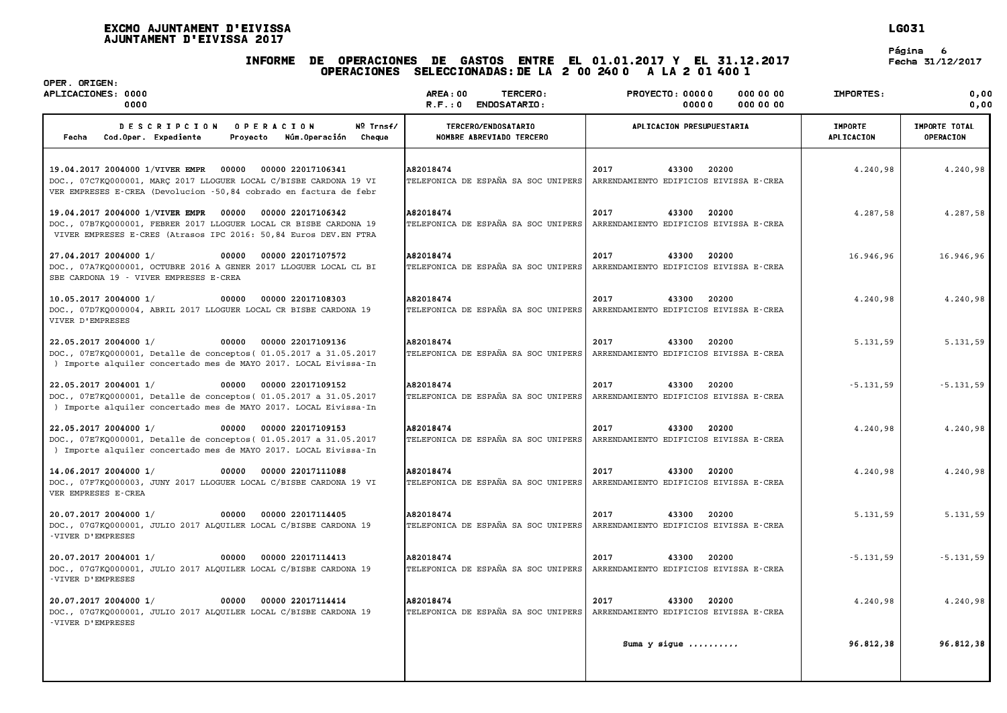# INFORME DE OPERACIONES DE GASTOS ENTRE EL 01.01.2017 <sup>Y</sup> EL 31.12.2017 Fecha 31/12/2017 .<br>2 Operaciones de Gastos entre el 01.01.2017 y el 31.1;<br>Operaciones seleccionadas:de la 2 00 240 0 -A la 2 01 400 1

**LG031**<br>Página 6<br>Fecha 31/12/2017

| OPER. ORIGEN:<br>APLICACIONES: 0000<br>0000                                                                                                                                                          | <b>AREA: 00</b><br>TERCERO:<br>R.F.: 0 ENDOSATARIO: | <b>PROYECTO: 00000</b><br><b>000 00 00</b><br>0000000<br>00000   | IMPORTES:                    | 0.00<br>0.00                      |
|------------------------------------------------------------------------------------------------------------------------------------------------------------------------------------------------------|-----------------------------------------------------|------------------------------------------------------------------|------------------------------|-----------------------------------|
| Nº Trnsf/<br><b>DESCRIPCION</b><br><b>OPERACION</b><br>Cod.Oper. Expediente<br>Núm.Operación<br>Cheque<br>Fecha<br>Provecto                                                                          | TERCERO/ENDOSATARIO<br>NOMBRE ABREVIADO TERCERO     | APLICACION PRESUPUESTARIA                                        | <b>IMPORTE</b><br>APLICACION | IMPORTE TOTAL<br><b>OPERACION</b> |
| 19.04.2017 2004000 1/VIVER EMPR 00000<br>00000 22017106341<br>DOC., 07C7KQ000001, MARC 2017 LLOGUER LOCAL C/BISBE CARDONA 19 VI<br>VER EMPRESES E-CREA (Devolucion -50,84 cobrado en factura de febr | A82018474<br>TELEFONICA DE ESPAÑA SA SOC UNIPERS    | 2017<br>43300<br>20200<br>ARRENDAMIENTO EDIFICIOS EIVISSA E-CREA | 4.240.98                     | 4.240,98                          |
| 19.04.2017 2004000 1/VIVER EMPR 00000<br>00000 22017106342<br>DOC., 07B7KO000001, FEBRER 2017 LLOGUER LOCAL CR BISBE CARDONA 19<br>VIVER EMPRESES E-CRES (Atrasos IPC 2016: 50,84 Euros DEV. EN FTRA | A82018474<br>TELEFONICA DE ESPAÑA SA SOC UNIPERS    | 2017<br>43300 20200<br>ARRENDAMIENTO EDIFICIOS EIVISSA E-CREA    | 4.287,58                     | 4.287,58                          |
| 27.04.2017 2004000 1/<br>00000<br>00000 22017107572<br>DOC., 07A7KQ000001, OCTUBRE 2016 A GENER 2017 LLOGUER LOCAL CL BI<br>SBE CARDONA 19 - VIVER EMPRESES E-CREA                                   | A82018474<br>TELEFONICA DE ESPAÑA SA SOC UNIPERS    | 2017<br>43300<br>20200<br>ARRENDAMIENTO EDIFICIOS EIVISSA E-CREA | 16.946,96                    | 16.946,96                         |
| 10.05.2017 2004000 1/<br>00000<br>00000 22017108303<br>DOC., 07D7KQ000004, ABRIL 2017 LLOGUER LOCAL CR BISBE CARDONA 19<br>VIVER D'EMPRESES                                                          | A82018474<br>TELEFONICA DE ESPAÑA SA SOC UNIPERS    | 2017<br>43300 20200<br>ARRENDAMIENTO EDIFICIOS EIVISSA E-CREA    | 4.240,98                     | 4.240,98                          |
| 22.05.2017 2004000 1/<br>00000<br>00000 22017109136<br>DOC., 07E7KQ000001, Detalle de conceptos (01.05.2017 a 31.05.2017<br>) Importe alquiler concertado mes de MAYO 2017. LOCAL Eivissa-In         | A82018474<br>TELEFONICA DE ESPAÑA SA SOC UNIPERS    | 2017<br>43300<br>20200<br>ARRENDAMIENTO EDIFICIOS EIVISSA E-CREA | 5.131,59                     | 5.131,59                          |
| 22.05.2017 2004001 1/<br>00000<br>00000 22017109152<br>DOC., 07E7KQ000001, Detalle de conceptos (01.05.2017 a 31.05.2017<br>) Importe alquiler concertado mes de MAYO 2017. LOCAL Eivissa-In         | A82018474<br>TELEFONICA DE ESPAÑA SA SOC UNIPERS    | 2017<br>43300<br>20200<br>ARRENDAMIENTO EDIFICIOS EIVISSA E-CREA | $-5.131.59$                  | $-5.131,59$                       |
| 22.05.2017 2004000 1/<br>00000 00000 22017109153<br>DOC., 07E7KQ000001, Detalle de conceptos (01.05.2017 a 31.05.2017<br>) Importe alquiler concertado mes de MAYO 2017. LOCAL Eivissa-In            | A82018474<br>TELEFONICA DE ESPAÑA SA SOC UNIPERS    | 2017<br>43300 20200<br>ARRENDAMIENTO EDIFICIOS EIVISSA E-CREA    | 4.240,98                     | 4.240,98                          |
| 14.06.2017 2004000 1/<br>00000 00000 22017111088<br>DOC., 07F7KQ000003, JUNY 2017 LLOGUER LOCAL C/BISBE CARDONA 19 VI<br>VER EMPRESES E-CREA                                                         | A82018474<br>TELEFONICA DE ESPAÑA SA SOC UNIPERS    | 2017<br>43300<br>20200<br>ARRENDAMIENTO EDIFICIOS EIVISSA E-CREA | 4.240,98                     | 4.240,98                          |
| 20.07.2017 2004000 1/<br>00000<br>00000 22017114405<br>DOC., 07G7KQ000001, JULIO 2017 ALQUILER LOCAL C/BISBE CARDONA 19<br>-VIVER D'EMPRESES                                                         | A82018474<br>TELEFONICA DE ESPAÑA SA SOC UNIPERS    | 2017<br>20200<br>43300<br>ARRENDAMIENTO EDIFICIOS EIVISSA E-CREA | 5.131,59                     | 5.131,59                          |
| 00000 22017114413<br>20.07.2017 2004001 1/<br>00000<br>DOC., 07G7KQ000001, JULIO 2017 ALQUILER LOCAL C/BISBE CARDONA 19<br>-VIVER D'EMPRESES                                                         | A82018474<br>TELEFONICA DE ESPAÑA SA SOC UNIPERS    | 2017<br>43300<br>20200<br>ARRENDAMIENTO EDIFICIOS EIVISSA E-CREA | $-5.131.59$                  | $-5.131,59$                       |
| 20.07.2017 2004000 1/<br>00000<br>00000 22017114414<br>DOC., 07G7KO000001, JULIO 2017 ALQUILER LOCAL C/BISBE CARDONA 19<br>-VIVER D'EMPRESES                                                         | A82018474<br>TELEFONICA DE ESPAÑA SA SOC UNIPERS    | 2017<br>43300 20200<br>ARRENDAMIENTO EDIFICIOS EIVISSA E-CREA    | 4.240,98                     | 4.240,98                          |
|                                                                                                                                                                                                      |                                                     | Suma y sigue                                                     | 96.812,38                    | 96.812,38                         |